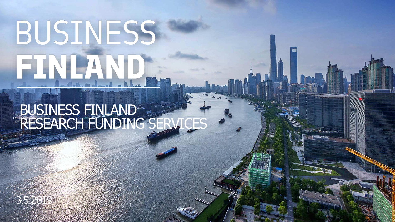# BUSINESS FINLAND

### BUSINESS FINLAND RESEARCH FUNDING SERVICES

 $\lambda$ 

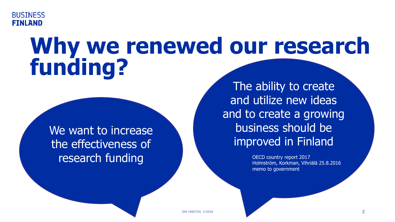

## **Why we renewed our research funding?**

We want to increase the effectiveness of research funding

The ability to create and utilize new ideas and to create a growing business should be improved in Finland

> OECD country report 2017 Holmström, Korkman, Vihriälä 25.8.2016 memo to government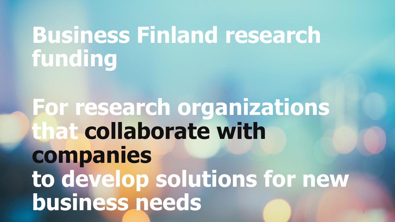## **Business Finland research funding**

**For research organizations that collaborate with companies to develop solutions for new business needs**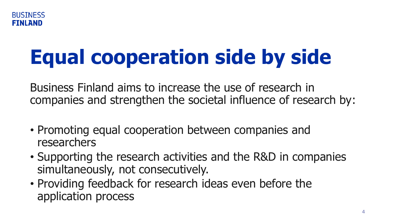

## **Equal cooperation side by side**

Business Finland aims to increase the use of research in companies and strengthen the societal influence of research by:

- Promoting equal cooperation between companies and researchers
- Supporting the research activities and the R&D in companies simultaneously, not consecutively.
- Providing feedback for research ideas even before the application process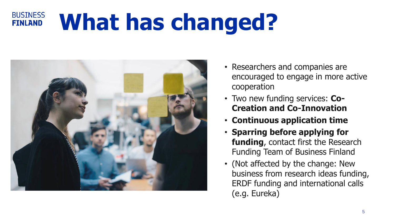#### **BUSINESS What has changed? FINLAND**



- Researchers and companies are encouraged to engage in more active cooperation
- Two new funding services: **Co-Creation and Co-Innovation**
- **Continuous application time**
- **Sparring before applying for funding**, contact first the Research Funding Team of Business Finland
- (Not affected by the change: New business from research ideas funding, ERDF funding and international calls (e.g. Eureka)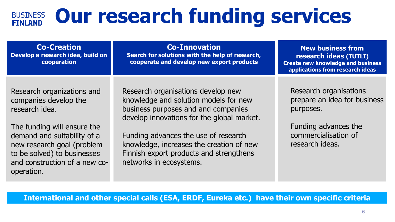#### **Our research funding services BUSINESS FINLAND**

| <b>Co-Creation</b><br>Develop a research idea, build on<br>cooperation                                                                  | <b>Co-Innovation</b><br>Search for solutions with the help of research,<br>cooperate and develop new export products                                             | <b>New business from</b><br>research ideas (TUTLI)<br><b>Create new knowledge and business</b><br>applications from research ideas |
|-----------------------------------------------------------------------------------------------------------------------------------------|------------------------------------------------------------------------------------------------------------------------------------------------------------------|------------------------------------------------------------------------------------------------------------------------------------|
|                                                                                                                                         |                                                                                                                                                                  |                                                                                                                                    |
| Research organizations and<br>companies develop the<br>research idea.                                                                   | Research organisations develop new<br>knowledge and solution models for new<br>business purposes and and companies<br>develop innovations for the global market. | Research organisations<br>prepare an idea for business<br>purposes.                                                                |
| The funding will ensure the                                                                                                             |                                                                                                                                                                  | Funding advances the                                                                                                               |
| demand and suitability of a<br>new research goal (problem<br>to be solved) to businesses<br>and construction of a new co-<br>operation. | Funding advances the use of research<br>knowledge, increases the creation of new<br>Finnish export products and strengthens<br>networks in ecosystems.           | commercialisation of<br>research ideas.                                                                                            |

**International and other special calls (ESA, ERDF, Eureka etc.) have their own specific criteria**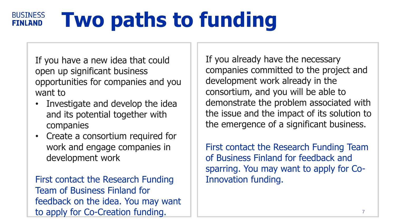#### **BUSINESS Two paths to funding FINLAND**

- If you have a new idea that could open up significant business opportunities for companies and you want to
- Investigate and develop the idea and its potential together with companies
- Create a consortium required for work and engage companies in development work

First contact the Research Funding Team of Business Finland for feedback on the idea. You may want to apply for Co-Creation funding.

If you already have the necessary companies committed to the project and development work already in the consortium, and you will be able to demonstrate the problem associated with the issue and the impact of its solution to the emergence of a significant business.

First contact the Research Funding Team of Business Finland for feedback and sparring. You may want to apply for Co-Innovation funding.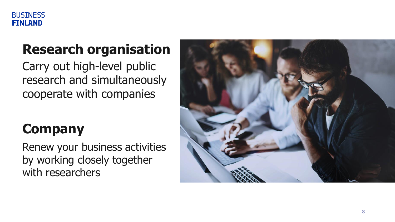

### **Research organisation**

Carry out high -level public research and simultaneously cooperate with companies

### **Company**

Renew your business activities by working closely together with researchers

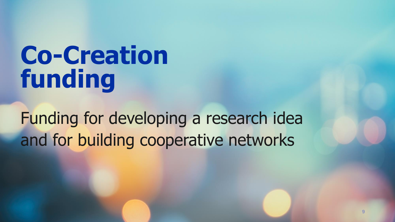## **Co-Creation funding**

Funding for developing a research idea and for building cooperative networks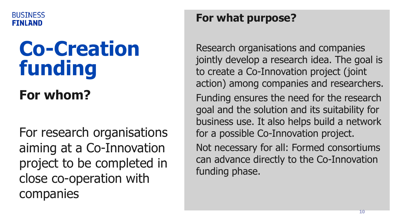

## **Co-Creation funding**

### **For whom?**

For research organisations aiming at a Co-Innovation project to be completed in close co-operation with companies

### **For what purpose?**

Research organisations and companies jointly develop a research idea. The goal is to create a Co-Innovation project (joint action) among companies and researchers. Funding ensures the need for the research goal and the solution and its suitability for business use. It also helps build a network for a possible Co-Innovation project.

Not necessary for all: Formed consortiums can advance directly to the Co-Innovation funding phase.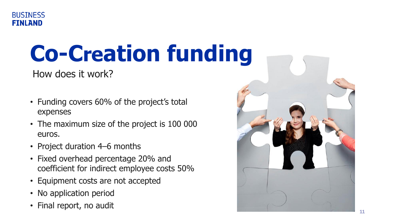

## **Co-Creation funding**

How does it work?

- Funding covers 60% of the project's total expenses
- The maximum size of the project is 100 000 euros.
- Project duration 4–6 months
- Fixed overhead percentage 20% and coefficient for indirect employee costs 50%
- Equipment costs are not accepted
- No application period
- Final report, no audit

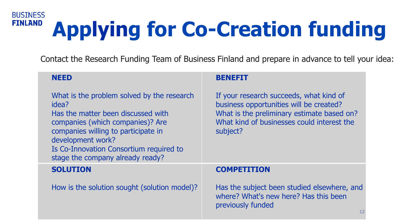#### **BUSINESS FINLAND Applying for Co-Creation funding**

Contact the Research Funding Team of Business Finland and prepare in advance to tell your idea:

previously funded

#### **NEED**  What is the problem solved by the research idea? Has the matter been discussed with companies (which companies)? Are companies willing to participate in development work? Is Co-Innovation Consortium required to stage the company already ready? **BENEFIT**  If your research succeeds, what kind of business opportunities will be created? What is the preliminary estimate based on? What kind of businesses could interest the subject? **SOLUTION**  How is the solution sought (solution model)? **COMPETITION**  Has the subject been studied elsewhere, and where? What's new here? Has this been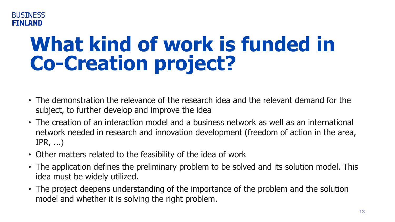#### **BUSTNESS FINLAND**

## **What kind of work is funded in Co-Creation project?**

- The demonstration the relevance of the research idea and the relevant demand for the subject, to further develop and improve the idea
- The creation of an interaction model and a business network as well as an international network needed in research and innovation development (freedom of action in the area, IPR, ...)
- Other matters related to the feasibility of the idea of work
- The application defines the preliminary problem to be solved and its solution model. This idea must be widely utilized.
- The project deepens understanding of the importance of the problem and the solution model and whether it is solving the right problem.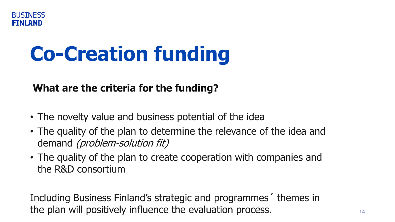## **Co-Creation funding**

### **What are the criteria for the funding?**

- The novelty value and business potential of the idea
- The quality of the plan to determine the relevance of the idea and demand (problem-solution fit)
- The quality of the plan to create cooperation with companies and the R&D consortium

Including Business Finland's strategic and programmes´ themes in the plan will positively influence the evaluation process. **<sup>14</sup>**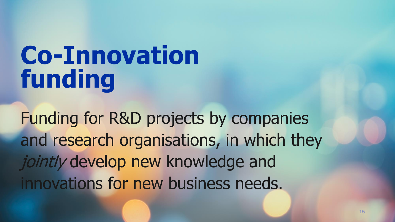## **Co-Innovation funding**

Funding for R&D projects by companies and research organisations, in which they jointly develop new knowledge and innovations for new business needs.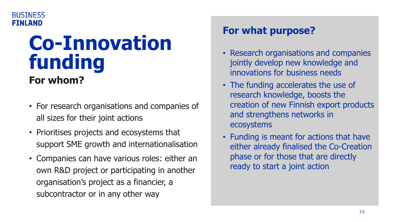### **Co-Innovation funding For whom?**

- For research organisations and companies of all sizes for their joint actions
- Prioritises projects and ecosystems that support SME growth and internationalisation
- Companies can have various roles: either an own R&D project or participating in another organisation's project as a financier, a subcontractor or in any other way

### **For what purpose?**

- Research organisations and companies jointly develop new knowledge and innovations for business needs
- The funding accelerates the use of research knowledge, boosts the creation of new Finnish export products and strengthens networks in ecosystems
- Funding is meant for actions that have either already finalised the Co-Creation phase or for those that are directly ready to start a joint action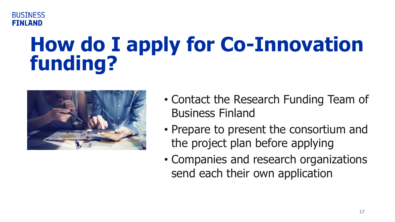

## **How do I apply for Co-Innovation funding?**



- Contact the Research Funding Team of Business Finland
- Prepare to present the consortium and the project plan before applying
- Companies and research organizations send each their own application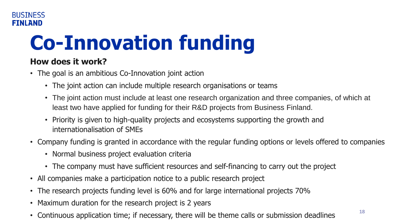## **Co-Innovation funding**

### **How does it work?**

- The goal is an ambitious Co-Innovation joint action
	- The joint action can include multiple research organisations or teams
	- The joint action must include at least one research organization and three companies, of which at least two have applied for funding for their R&D projects from Business Finland.
	- Priority is given to high-quality projects and ecosystems supporting the growth and internationalisation of SMEs
- Company funding is granted in accordance with the regular funding options or levels offered to companies
	- Normal business project evaluation criteria
	- The company must have sufficient resources and self-financing to carry out the project
- All companies make a participation notice to a public research project
- The research projects funding level is 60% and for large international projects 70%
- Maximum duration for the research project is 2 years
- Continuous application time; if necessary, there will be theme calls or submission deadlines **<sup>18</sup>**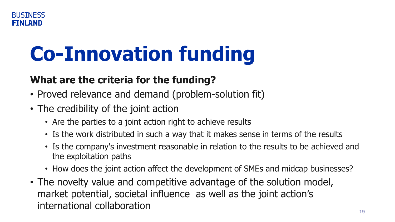## **Co-Innovation funding**

### **What are the criteria for the funding?**

- Proved relevance and demand (problem-solution fit)
- The credibility of the joint action
	- Are the parties to a joint action right to achieve results
	- Is the work distributed in such a way that it makes sense in terms of the results
	- Is the company's investment reasonable in relation to the results to be achieved and the exploitation paths
	- How does the joint action affect the development of SMEs and midcap businesses?
- The novelty value and competitive advantage of the solution model, market potential, societal influence as well as the joint action's international collaboration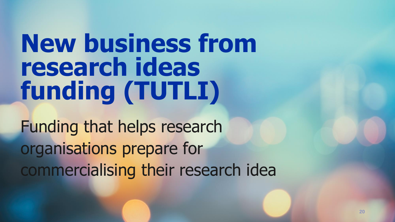## **New business from research ideas funding (TUTLI)**

Funding that helps research organisations prepare for commercialising their research idea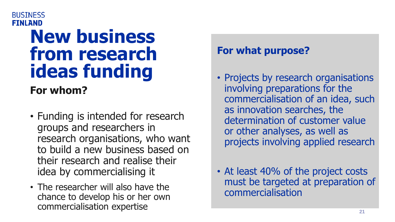#### **BUSTNESS FINLAND**

### **New business from research ideas funding**

**For whom?**

- Funding is intended for research groups and researchers in research organisations, who want to build a new business based on their research and realise their idea by commercialising it
- The researcher will also have the chance to develop his or her own commercialisation expertise

### **For what purpose?**

- Projects by research organisations involving preparations for the commercialisation of an idea, such as innovation searches, the determination of customer value or other analyses, as well as projects involving applied research
- At least 40% of the project costs must be targeted at preparation of commercialisation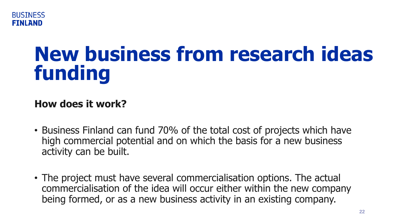

### **New business from research ideas funding**

### **How does it work?**

- Business Finland can fund 70% of the total cost of projects which have high commercial potential and on which the basis for a new business activity can be built.
- The project must have several commercialisation options. The actual commercialisation of the idea will occur either within the new company being formed, or as a new business activity in an existing company.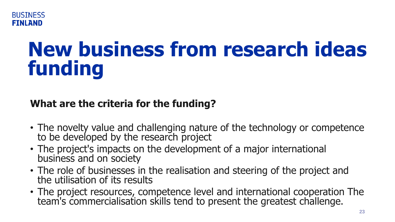

## **New business from research ideas funding**

### **What are the criteria for the funding?**

- The novelty value and challenging nature of the technology or competence to be developed by the research project
- The project's impacts on the development of a major international business and on society
- The role of businesses in the realisation and steering of the project and the utilisation of its results
- The project resources, competence level and international cooperation The team's commercialisation skills tend to present the greatest challenge.